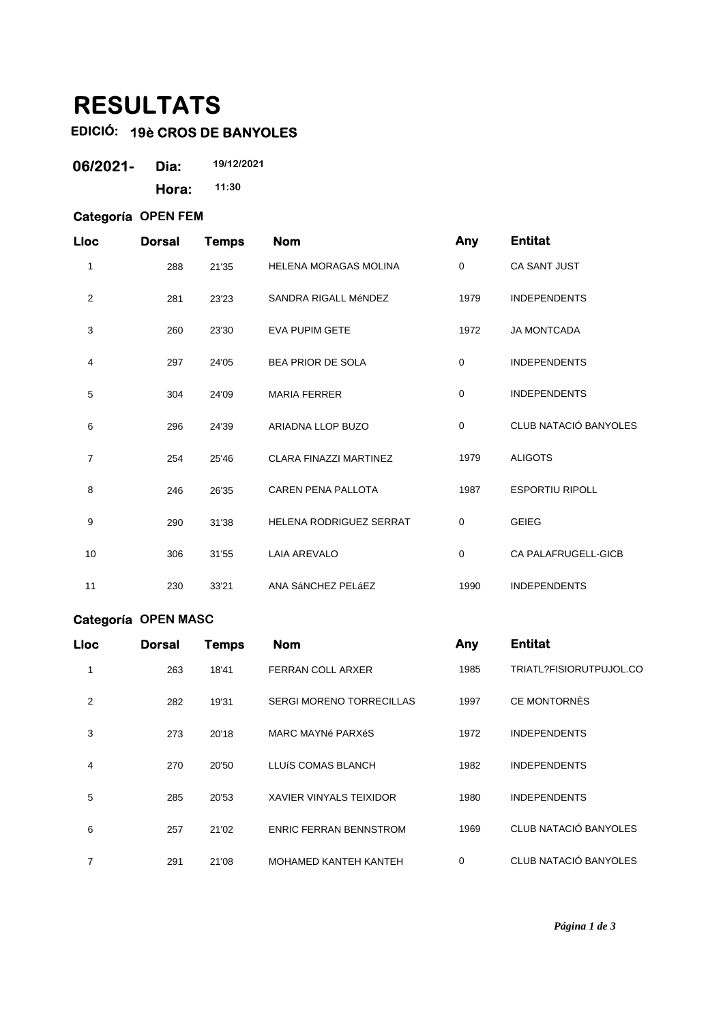## **RESULTATS**

## **EDICIÓ: 19è CROS DE BANYOLES**

| 06/2021- | Dia:  | 19/12/2021 |
|----------|-------|------------|
|          | Hora: | 11:30      |

## **Categoría OPEN FEM**

| <b>Lloc</b>    | <b>Dorsal</b> | <b>Temps</b> | <b>Nom</b>                     | Any         | <b>Entitat</b>         |
|----------------|---------------|--------------|--------------------------------|-------------|------------------------|
| 1              | 288           | 21'35        | <b>HELENA MORAGAS MOLINA</b>   | 0           | <b>CA SANT JUST</b>    |
| $\overline{2}$ | 281           | 23'23        | SANDRA RIGALL MéNDEZ           | 1979        | <b>INDEPENDENTS</b>    |
| 3              | 260           | 23'30        | <b>EVA PUPIM GETE</b>          | 1972        | <b>JA MONTCADA</b>     |
| 4              | 297           | 24'05        | <b>BEA PRIOR DE SOLA</b>       | $\mathbf 0$ | <b>INDEPENDENTS</b>    |
| 5              | 304           | 24'09        | <b>MARIA FERRER</b>            | $\mathbf 0$ | <b>INDEPENDENTS</b>    |
| 6              | 296           | 24'39        | ARIADNA LLOP BUZO              | $\mathbf 0$ | CLUB NATACIÓ BANYOLES  |
| 7              | 254           | 25'46        | <b>CLARA FINAZZI MARTINEZ</b>  | 1979        | <b>ALIGOTS</b>         |
| 8              | 246           | 26'35        | <b>CAREN PENA PALLOTA</b>      | 1987        | <b>ESPORTIU RIPOLL</b> |
| 9              | 290           | 31'38        | <b>HELENA RODRIGUEZ SERRAT</b> | $\mathbf 0$ | <b>GEIEG</b>           |
| 10             | 306           | 31'55        | <b>LAIA AREVALO</b>            | 0           | CA PALAFRUGELL-GICB    |
| 11             | 230           | 33'21        | ANA SÁNCHEZ PELÁEZ             | 1990        | <b>INDEPENDENTS</b>    |

## **Categoría OPEN MASC**

| <b>Lloc</b> | <b>Dorsal</b> | <b>Temps</b> | <b>Nom</b>                      | Any  | <b>Entitat</b>          |
|-------------|---------------|--------------|---------------------------------|------|-------------------------|
| 1           | 263           | 18'41        | <b>FERRAN COLL ARXER</b>        | 1985 | TRIATL?FISIORUTPUJOL.CO |
| 2           | 282           | 19'31        | <b>SERGI MORENO TORRECILLAS</b> | 1997 | CE MONTORNÈS            |
| 3           | 273           | 20'18        | MARC MAYNé PARXéS               | 1972 | <b>INDEPENDENTS</b>     |
| 4           | 270           | 20'50        | LLUÍS COMAS BLANCH              | 1982 | <b>INDEPENDENTS</b>     |
| 5           | 285           | 20'53        | <b>XAVIER VINYALS TEIXIDOR</b>  | 1980 | <b>INDEPENDENTS</b>     |
| 6           | 257           | 21'02        | <b>ENRIC FERRAN BENNSTROM</b>   | 1969 | CLUB NATACIÓ BANYOLES   |
| 7           | 291           | 21'08        | <b>MOHAMED KANTEH KANTEH</b>    | 0    | CLUB NATACIÓ BANYOLES   |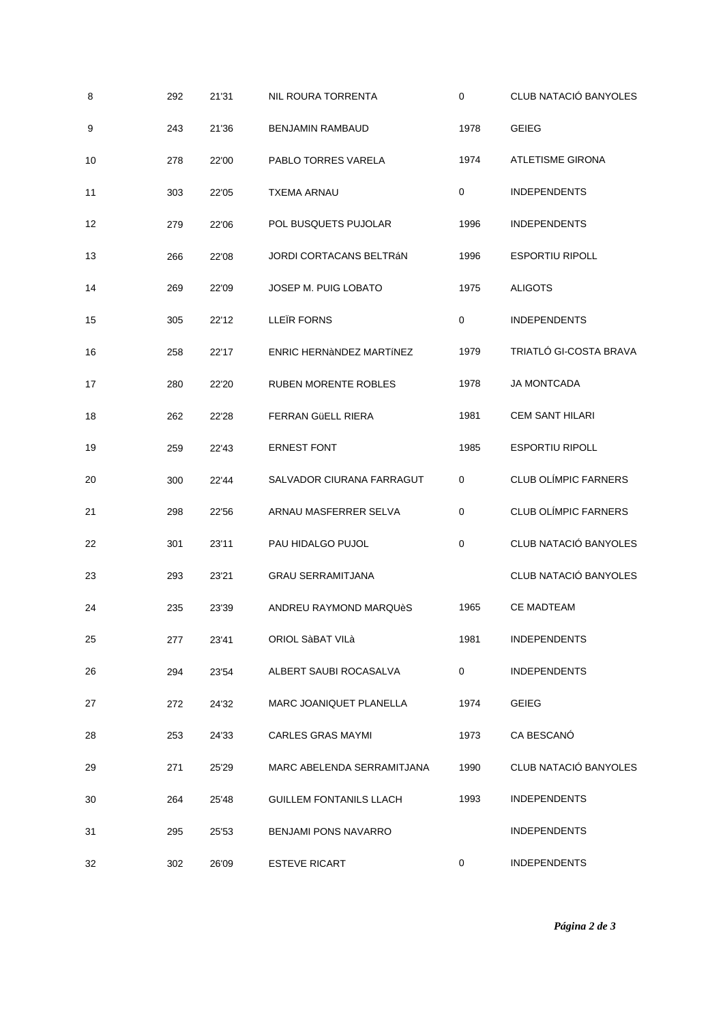| 8  | 292 | 21'31 | NIL ROURA TORRENTA             | $\mathbf 0$ | CLUB NATACIÓ BANYOLES       |
|----|-----|-------|--------------------------------|-------------|-----------------------------|
| 9  | 243 | 21'36 | <b>BENJAMIN RAMBAUD</b>        | 1978        | <b>GEIEG</b>                |
| 10 | 278 | 22'00 | PABLO TORRES VARELA            | 1974        | <b>ATLETISME GIRONA</b>     |
| 11 | 303 | 22'05 | <b>TXEMA ARNAU</b>             | $\mathbf 0$ | <b>INDEPENDENTS</b>         |
| 12 | 279 | 22'06 | POL BUSQUETS PUJOLAR           | 1996        | <b>INDEPENDENTS</b>         |
| 13 | 266 | 22'08 | JORDI CORTACANS BELTRÁN        | 1996        | <b>ESPORTIU RIPOLL</b>      |
| 14 | 269 | 22'09 | JOSEP M. PUIG LOBATO           | 1975        | <b>ALIGOTS</b>              |
| 15 | 305 | 22'12 | LLEÏR FORNS                    | 0           | <b>INDEPENDENTS</b>         |
| 16 | 258 | 22'17 | ENRIC HERNÀNDEZ MARTÍNEZ       | 1979        | TRIATLÓ GI-COSTA BRAVA      |
| 17 | 280 | 22'20 | <b>RUBEN MORENTE ROBLES</b>    | 1978        | <b>JA MONTCADA</b>          |
| 18 | 262 | 22'28 | FERRAN GÜELL RIERA             | 1981        | <b>CEM SANT HILARI</b>      |
| 19 | 259 | 22'43 | <b>ERNEST FONT</b>             | 1985        | <b>ESPORTIU RIPOLL</b>      |
| 20 | 300 | 22'44 | SALVADOR CIURANA FARRAGUT      | 0           | <b>CLUB OLÍMPIC FARNERS</b> |
| 21 | 298 | 22'56 | ARNAU MASFERRER SELVA          | 0           | <b>CLUB OLÍMPIC FARNERS</b> |
| 22 | 301 | 23'11 | PAU HIDALGO PUJOL              | $\mathbf 0$ | CLUB NATACIÓ BANYOLES       |
| 23 | 293 | 23'21 | <b>GRAU SERRAMITJANA</b>       |             | CLUB NATACIÓ BANYOLES       |
| 24 | 235 | 23'39 | ANDREU RAYMOND MARQUèS         | 1965        | CE MADTEAM                  |
| 25 | 277 | 23'41 | ORIOL SàBAT VILà               | 1981        | <b>INDEPENDENTS</b>         |
| 26 | 294 | 23'54 | ALBERT SAUBI ROCASALVA         | 0           | <b>INDEPENDENTS</b>         |
| 27 | 272 | 24'32 | MARC JOANIQUET PLANELLA        | 1974        | <b>GEIEG</b>                |
| 28 | 253 | 24'33 | CARLES GRAS MAYMI              | 1973        | CA BESCANÓ                  |
| 29 | 271 | 25'29 | MARC ABELENDA SERRAMITJANA     | 1990        | CLUB NATACIÓ BANYOLES       |
| 30 | 264 | 25'48 | <b>GUILLEM FONTANILS LLACH</b> | 1993        | <b>INDEPENDENTS</b>         |
| 31 | 295 | 25'53 | BENJAMI PONS NAVARRO           |             | <b>INDEPENDENTS</b>         |
| 32 | 302 | 26'09 | <b>ESTEVE RICART</b>           | 0           | <b>INDEPENDENTS</b>         |